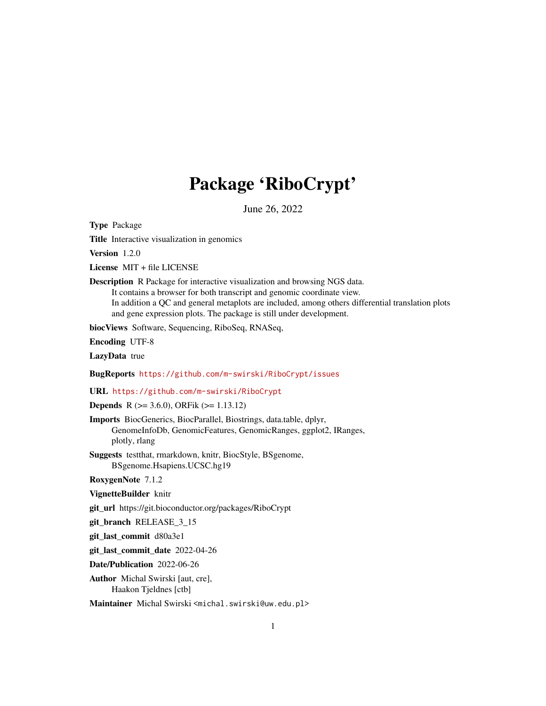## Package 'RiboCrypt'

June 26, 2022

<span id="page-0-0"></span>Type Package

Title Interactive visualization in genomics

Version 1.2.0

License MIT + file LICENSE

Description R Package for interactive visualization and browsing NGS data. It contains a browser for both transcript and genomic coordinate view. In addition a QC and general metaplots are included, among others differential translation plots and gene expression plots. The package is still under development.

biocViews Software, Sequencing, RiboSeq, RNASeq,

Encoding UTF-8

LazyData true

BugReports <https://github.com/m-swirski/RiboCrypt/issues>

URL <https://github.com/m-swirski/RiboCrypt>

Depends R (>= 3.6.0), ORFik (>= 1.13.12)

Imports BiocGenerics, BiocParallel, Biostrings, data.table, dplyr, GenomeInfoDb, GenomicFeatures, GenomicRanges, ggplot2, IRanges, plotly, rlang

Suggests testthat, rmarkdown, knitr, BiocStyle, BSgenome, BSgenome.Hsapiens.UCSC.hg19

RoxygenNote 7.1.2

VignetteBuilder knitr

git\_url https://git.bioconductor.org/packages/RiboCrypt

git\_branch RELEASE\_3\_15

git\_last\_commit d80a3e1

git\_last\_commit\_date 2022-04-26

Date/Publication 2022-06-26

Author Michal Swirski [aut, cre], Haakon Tjeldnes [ctb]

Maintainer Michal Swirski <michal.swirski@uw.edu.pl>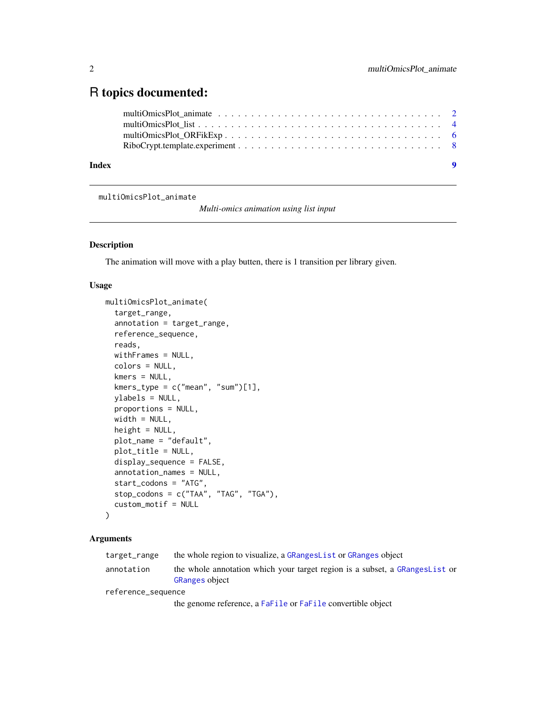### <span id="page-1-0"></span>R topics documented:

| Index | $\bullet$ |  |
|-------|-----------|--|
|       |           |  |
|       |           |  |
|       |           |  |
|       |           |  |

multiOmicsPlot\_animate

*Multi-omics animation using list input*

#### Description

The animation will move with a play butten, there is 1 transition per library given.

#### Usage

```
multiOmicsPlot_animate(
  target_range,
 annotation = target_range,
 reference_sequence,
 reads,
 withFrames = NULL,
 colors = NULL,
 kmers = NULL,
 kmers_type = c("mean", "sum")[1],ylabels = NULL,
 proportions = NULL,
 width = NULL,height = NULL,plot_name = "default",
 plot_title = NULL,
 display_sequence = FALSE,
 annotation_names = NULL,
 start_codons = "ATG",
  stop_codons = c("TAA", "TAG", "TGA"),
  custom_motif = NULL
)
```
#### Arguments

| target_range       | the whole region to visualize, a GRangesList or GRanges object                                       |
|--------------------|------------------------------------------------------------------------------------------------------|
| annotation         | the whole annotation which your target region is a subset, a GRangesList or<br><b>GRanges object</b> |
| reference_sequence |                                                                                                      |
|                    |                                                                                                      |

the genome reference, a [FaFile](#page-0-0) or [FaFile](#page-0-0) convertible object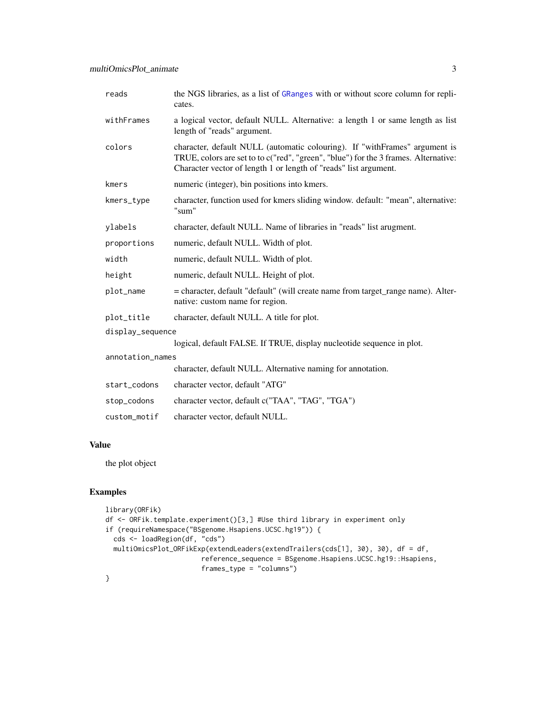| reads            | the NGS libraries, as a list of GRanges with or without score column for repli-<br>cates.                                                                                                                                             |
|------------------|---------------------------------------------------------------------------------------------------------------------------------------------------------------------------------------------------------------------------------------|
| withFrames       | a logical vector, default NULL. Alternative: a length 1 or same length as list<br>length of "reads" argument.                                                                                                                         |
| colors           | character, default NULL (automatic colouring). If "withFrames" argument is<br>TRUE, colors are set to to c("red", "green", "blue") for the 3 frames. Alternative:<br>Character vector of length 1 or length of "reads" list argument. |
| kmers            | numeric (integer), bin positions into kmers.                                                                                                                                                                                          |
| kmers_type       | character, function used for kmers sliding window. default: "mean", alternative:<br>"sum"                                                                                                                                             |
| ylabels          | character, default NULL. Name of libraries in "reads" list arugment.                                                                                                                                                                  |
| proportions      | numeric, default NULL. Width of plot.                                                                                                                                                                                                 |
| width            | numeric, default NULL. Width of plot.                                                                                                                                                                                                 |
| height           | numeric, default NULL. Height of plot.                                                                                                                                                                                                |
| plot_name        | = character, default "default" (will create name from target_range name). Alter-<br>native: custom name for region.                                                                                                                   |
| plot_title       | character, default NULL. A title for plot.                                                                                                                                                                                            |
| display_sequence |                                                                                                                                                                                                                                       |
|                  | logical, default FALSE. If TRUE, display nucleotide sequence in plot.                                                                                                                                                                 |
| annotation_names |                                                                                                                                                                                                                                       |
|                  | character, default NULL. Alternative naming for annotation.                                                                                                                                                                           |
| start_codons     | character vector, default "ATG"                                                                                                                                                                                                       |
| stop_codons      | character vector, default c("TAA", "TAG", "TGA")                                                                                                                                                                                      |
| custom motif     | character vector, default NULL.                                                                                                                                                                                                       |

#### Value

the plot object

```
library(ORFik)
df <- ORFik.template.experiment()[3,] #Use third library in experiment only
if (requireNamespace("BSgenome.Hsapiens.UCSC.hg19")) {
  cds <- loadRegion(df, "cds")
  multiOmicsPlot_ORFikExp(extendLeaders(extendTrailers(cds[1], 30), 30), df = df,
                       reference_sequence = BSgenome.Hsapiens.UCSC.hg19::Hsapiens,
                       frames_type = "columns")
}
```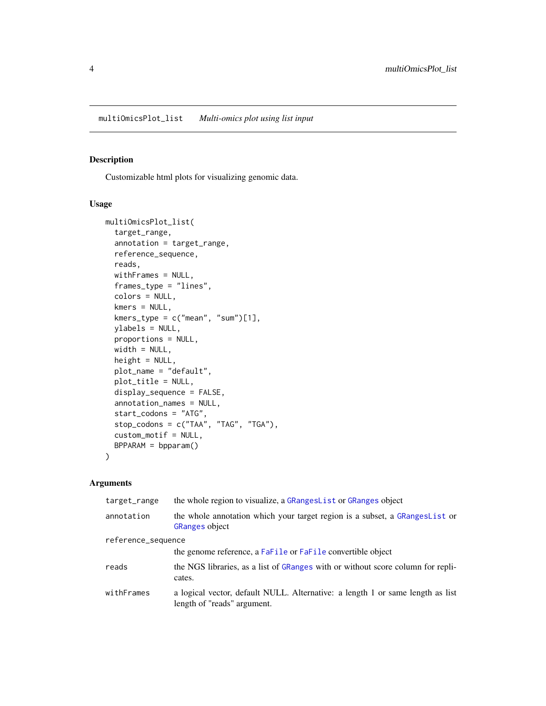<span id="page-3-0"></span>multiOmicsPlot\_list *Multi-omics plot using list input*

#### Description

Customizable html plots for visualizing genomic data.

#### Usage

```
multiOmicsPlot_list(
  target_range,
  annotation = target_range,
  reference_sequence,
  reads,
 withFrames = NULL,
  frames_type = "lines",
  colors = NULL,
  kmers = NULL,
 kmers_type = c("mean", "sum")[1],ylabels = NULL,
  proportions = NULL,
 width = NULL,
  height = NULL,plot_name = "default",
 plot_title = NULL,
  display_sequence = FALSE,
  annotation_names = NULL,
  start_codons = "ATG",
  stop_codons = c("TAA", "TAG", "TGA"),
  custom_motif = NULL,
 BPPARAM = bpparam()
)
```
#### Arguments

| target_range       | the whole region to visualize, a GRangesList or GRanges object                                                |
|--------------------|---------------------------------------------------------------------------------------------------------------|
| annotation         | the whole annotation which your target region is a subset, a GRangesList or<br><b>GRanges object</b>          |
| reference_sequence |                                                                                                               |
|                    | the genome reference, a FaFile or FaFile convertible object                                                   |
| reads              | the NGS libraries, as a list of GRanges with or without score column for repli-<br>cates.                     |
| withFrames         | a logical vector, default NULL. Alternative: a length 1 or same length as list<br>length of "reads" argument. |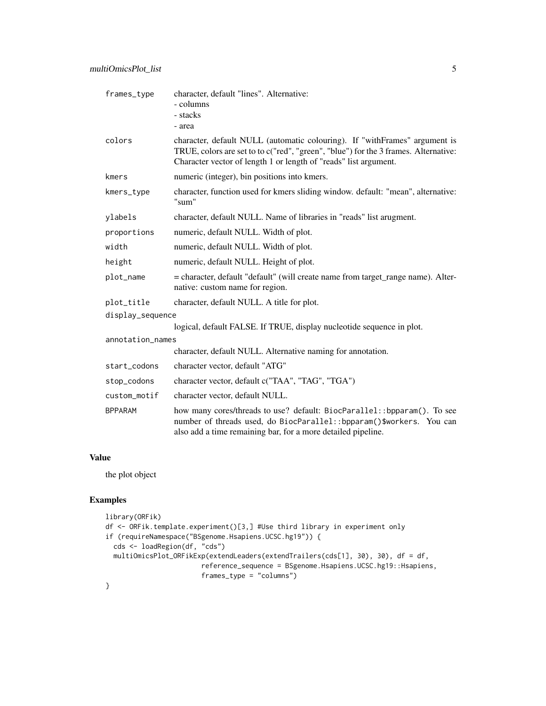| frames_type      | character, default "lines". Alternative:<br>- columns                                                                                                                                                                                 |
|------------------|---------------------------------------------------------------------------------------------------------------------------------------------------------------------------------------------------------------------------------------|
|                  | - stacks                                                                                                                                                                                                                              |
|                  | - area                                                                                                                                                                                                                                |
| colors           | character, default NULL (automatic colouring). If "withFrames" argument is<br>TRUE, colors are set to to c("red", "green", "blue") for the 3 frames. Alternative:<br>Character vector of length 1 or length of "reads" list argument. |
| kmers            | numeric (integer), bin positions into kmers.                                                                                                                                                                                          |
| kmers_type       | character, function used for kmers sliding window. default: "mean", alternative:<br>"sum"                                                                                                                                             |
| ylabels          | character, default NULL. Name of libraries in "reads" list arugment.                                                                                                                                                                  |
| proportions      | numeric, default NULL. Width of plot.                                                                                                                                                                                                 |
| width            | numeric, default NULL. Width of plot.                                                                                                                                                                                                 |
| height           | numeric, default NULL. Height of plot.                                                                                                                                                                                                |
| plot_name        | = character, default "default" (will create name from target_range name). Alter-<br>native: custom name for region.                                                                                                                   |
| plot_title       | character, default NULL. A title for plot.                                                                                                                                                                                            |
| display_sequence |                                                                                                                                                                                                                                       |
|                  | logical, default FALSE. If TRUE, display nucleotide sequence in plot.                                                                                                                                                                 |
| annotation_names |                                                                                                                                                                                                                                       |
|                  | character, default NULL. Alternative naming for annotation.                                                                                                                                                                           |
| start_codons     | character vector, default "ATG"                                                                                                                                                                                                       |
| stop_codons      | character vector, default c("TAA", "TAG", "TGA")                                                                                                                                                                                      |
| custom_motif     | character vector, default NULL.                                                                                                                                                                                                       |
| <b>BPPARAM</b>   | how many cores/threads to use? default: BiocParallel: : bpparam(). To see<br>number of threads used, do BiocParallel:: bpparam()\$workers. You can<br>also add a time remaining bar, for a more detailed pipeline.                    |

#### Value

the plot object

```
library(ORFik)
df <- ORFik.template.experiment()[3,] #Use third library in experiment only
if (requireNamespace("BSgenome.Hsapiens.UCSC.hg19")) {
 cds <- loadRegion(df, "cds")
 multiOmicsPlot_ORFikExp(extendLeaders(extendTrailers(cds[1], 30), 30), df = df,
                       reference_sequence = BSgenome.Hsapiens.UCSC.hg19::Hsapiens,
                       frames_type = "columns")
}
```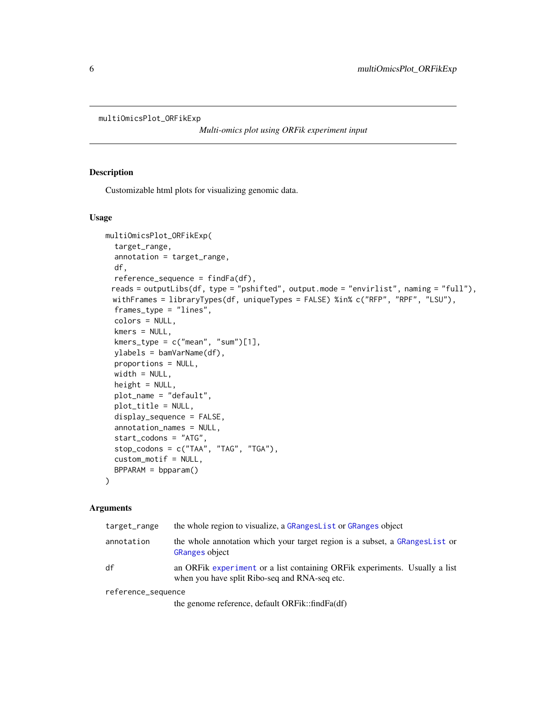```
multiOmicsPlot_ORFikExp
```
*Multi-omics plot using ORFik experiment input*

#### Description

Customizable html plots for visualizing genomic data.

#### Usage

```
multiOmicsPlot_ORFikExp(
  target_range,
  annotation = target_range,
  df,
  reference_sequence = findFa(df),
 reads = outputLibs(df, type = "pshifted", output.mode = "envirlist", naming = "full"),
 withFrames = libraryTypes(df, uniqueTypes = FALSE) %in% c("RFP", "RPF", "LSU"),
  frames_type = "lines",
  colors = NULL,
  kmers = NULL,kmers_type = c("mean", "sum")[1],
  ylabels = bamVarName(df),
  proportions = NULL,
  width = NULL,height = NULL,plot_name = "default",
  plot_title = NULL,
  display_sequence = FALSE,
  annotation_names = NULL,
  start_codons = "ATG",
  stop\_codons = c("TAA", "TAG", "TGA"),
  custom_motif = NULL,
  BPPARAM = bpparam()
)
```
#### Arguments

| target_range       | the whole region to visualize, a GRangesList or GRanges object                                                              |
|--------------------|-----------------------------------------------------------------------------------------------------------------------------|
| annotation         | the whole annotation which your target region is a subset, a GRangesList or<br><b>GRanges object</b>                        |
| df                 | an ORFik experiment or a list containing ORFik experiments. Usually a list<br>when you have split Ribo-seq and RNA-seq etc. |
| reference_sequence |                                                                                                                             |

the genome reference, default ORFik::findFa(df)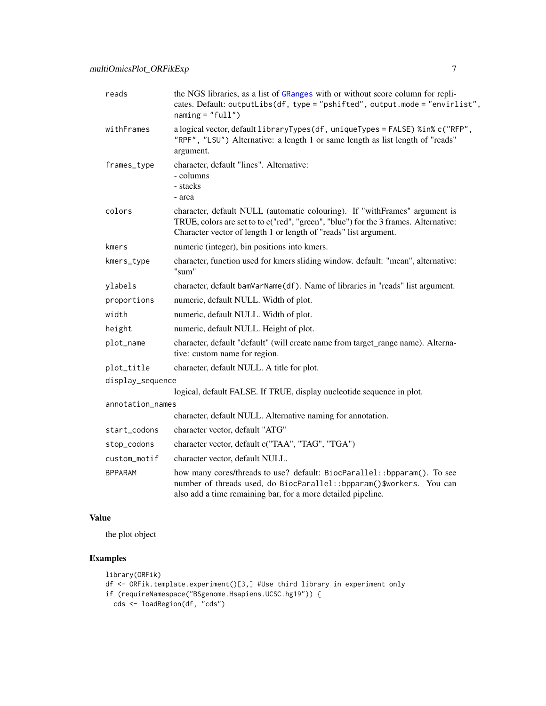<span id="page-6-0"></span>

| reads            | the NGS libraries, as a list of GRanges with or without score column for repli-<br>cates. Default: outputLibs(df, type = "pshifted", output.mode = "envirlist",<br>$naming = "full")$                                                 |
|------------------|---------------------------------------------------------------------------------------------------------------------------------------------------------------------------------------------------------------------------------------|
| withFrames       | a logical vector, default libraryTypes(df, uniqueTypes = FALSE) %in% c("RFP",<br>"RPF", "LSU") Alternative: a length 1 or same length as list length of "reads"<br>argument.                                                          |
| frames_type      | character, default "lines". Alternative:<br>- columns<br>- stacks<br>- area                                                                                                                                                           |
| colors           | character, default NULL (automatic colouring). If "withFrames" argument is<br>TRUE, colors are set to to c("red", "green", "blue") for the 3 frames. Alternative:<br>Character vector of length 1 or length of "reads" list argument. |
| kmers            | numeric (integer), bin positions into kmers.                                                                                                                                                                                          |
| kmers_type       | character, function used for kmers sliding window. default: "mean", alternative:<br>"sum"                                                                                                                                             |
| ylabels          | character, default bamVarName(df). Name of libraries in "reads" list argument.                                                                                                                                                        |
| proportions      | numeric, default NULL. Width of plot.                                                                                                                                                                                                 |
| width            | numeric, default NULL. Width of plot.                                                                                                                                                                                                 |
| height           | numeric, default NULL. Height of plot.                                                                                                                                                                                                |
| plot_name        | character, default "default" (will create name from target_range name). Alterna-<br>tive: custom name for region.                                                                                                                     |
| plot_title       | character, default NULL. A title for plot.                                                                                                                                                                                            |
| display_sequence |                                                                                                                                                                                                                                       |
|                  | logical, default FALSE. If TRUE, display nucleotide sequence in plot.                                                                                                                                                                 |
| annotation_names |                                                                                                                                                                                                                                       |
|                  | character, default NULL. Alternative naming for annotation.                                                                                                                                                                           |
| start_codons     | character vector, default "ATG"                                                                                                                                                                                                       |
| stop_codons      | character vector, default c("TAA", "TAG", "TGA")                                                                                                                                                                                      |
| custom_motif     | character vector, default NULL.                                                                                                                                                                                                       |
| <b>BPPARAM</b>   | how many cores/threads to use? default: BiocParallel:: bpparam(). To see<br>number of threads used, do BiocParallel: : bpparam()\$workers. You can<br>also add a time remaining bar, for a more detailed pipeline.                    |

#### Value

the plot object

```
library(ORFik)
```

```
df <- ORFik.template.experiment()[3,] #Use third library in experiment only
if (requireNamespace("BSgenome.Hsapiens.UCSC.hg19")) {
```

```
cds <- loadRegion(df, "cds")
```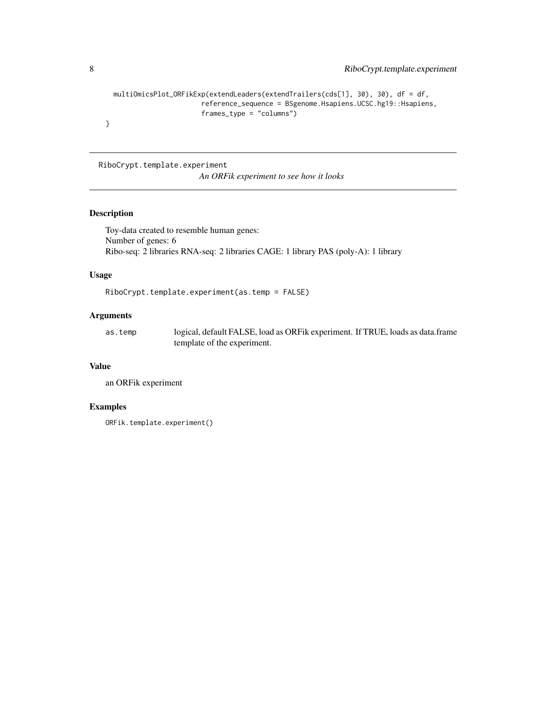```
multiOmicsPlot_ORFikExp(extendLeaders(extendTrailers(cds[1], 30), 30), df = df,
                      reference_sequence = BSgenome.Hsapiens.UCSC.hg19::Hsapiens,
                      frames_type = "columns")
```
}

RiboCrypt.template.experiment

*An ORFik experiment to see how it looks*

#### Description

Toy-data created to resemble human genes: Number of genes: 6 Ribo-seq: 2 libraries RNA-seq: 2 libraries CAGE: 1 library PAS (poly-A): 1 library

#### Usage

RiboCrypt.template.experiment(as.temp = FALSE)

#### Arguments

as.temp logical, default FALSE, load as ORFik experiment. If TRUE, loads as data.frame template of the experiment.

#### Value

an ORFik experiment

```
ORFik.template.experiment()
```
<span id="page-7-0"></span>